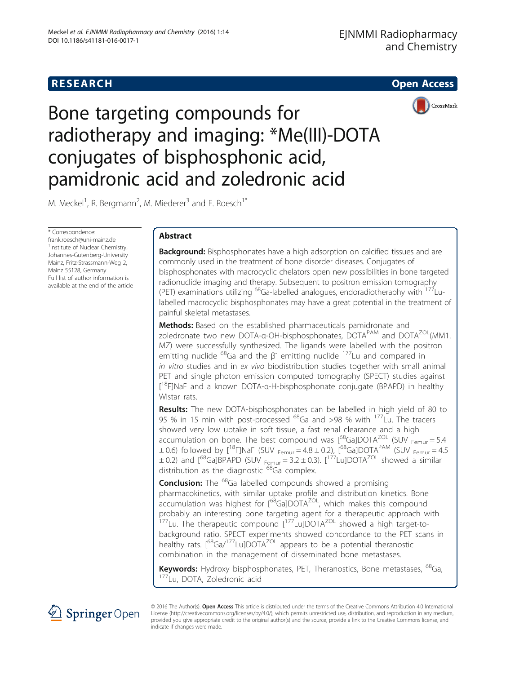# **RESEARCH CHEAR CHEAR CHEAR CHEAR CHEAR CHEAR CHEAR CHEAR CHEAR CHEAR CHEAR CHEAR CHEAR CHEAR CHEAR CHEAR CHEAR**



Bone targeting compounds for radiotherapy and imaging: \*Me(III)-DOTA conjugates of bisphosphonic acid, pamidronic acid and zoledronic acid

M. Meckel<sup>1</sup>, R. Bergmann<sup>2</sup>, M. Miederer<sup>3</sup> and F. Roesch<sup>1\*</sup>

\* Correspondence: [frank.roesch@uni-mainz.de](mailto:frank.roesch@uni-mainz.de) <sup>1</sup>Institute of Nuclear Chemistry, Johannes-Gutenberg-University Mainz, Fritz-Strassmann-Weg 2, Mainz 55128, Germany Full list of author information is available at the end of the article

# Abstract

**Background:** Bisphosphonates have a high adsorption on calcified tissues and are commonly used in the treatment of bone disorder diseases. Conjugates of bisphosphonates with macrocyclic chelators open new possibilities in bone targeted radionuclide imaging and therapy. Subsequent to positron emission tomography (PET) examinations utilizing  $^{68}$ Ga-labelled analogues, endoradiotheraphy with  $^{177}$ Lulabelled macrocyclic bisphosphonates may have a great potential in the treatment of painful skeletal metastases.

Methods: Based on the established pharmaceuticals pamidronate and zoledronate two new DOTA-α-OH-bisphosphonates, DOTA<sup>PAM</sup> and DOTA<sup>ZOL</sup>(MM1. MZ) were successfully synthesized. The ligands were labelled with the positron emitting nuclide  $^{68}$ Ga and the β<sup>-</sup> emitting nuclide  $^{177}$ Lu and compared in in vitro studies and in ex vivo biodistribution studies together with small animal PET and single photon emission computed tomography (SPECT) studies against [<sup>18</sup>F]NaF and a known DOTA-α-H-bisphosphonate conjugate (BPAPD) in healthy Wistar rats.

Results: The new DOTA-bisphosphonates can be labelled in high yield of 80 to 95 % in 15 min with post-processed  $^{68}$ Ga and >98 % with  $^{177}$ Lu. The tracers showed very low uptake in soft tissue, a fast renal clearance and a high accumulation on bone. The best compound was  $[$ <sup>68</sup>Ga]DOTA<sup>ZOL</sup> (SUV  $_{Femur}$  = 5.4  $\pm$  0.6) followed by [<sup>18</sup>F]NaF (SUV <sub>Femur</sub> = 4.8  $\pm$  0.2), [<sup>68</sup>Ga]DOTA<sup>PAM</sup> (SUV <sub>Femur</sub> = 4.5  $\pm$  0.2) and  $[{}^{68}$ Ga]BPAPD (SUV  $_{Fermur}$  = 3.2  $\pm$  0.3).  $[{}^{177}$ Lu]DOTA<sup>ZOL</sup> showed a similar distribution as the diagnostic <sup>68</sup>Ga complex.

**Conclusion:** The <sup>68</sup>Ga labelled compounds showed a promising pharmacokinetics, with similar uptake profile and distribution kinetics. Bone accumulation was highest for [<sup>68</sup>Ga]DOTA<sup>ZOL</sup>, which makes this compound probably an interesting bone targeting agent for a therapeutic approach with  $177$ Lu. The therapeutic compound  $[177$ Lu]DOTA<sup>ZOL</sup> showed a high target-tobackground ratio. SPECT experiments showed concordance to the PET scans in healthy rats. [<sup>68</sup>Ga/<sup>177</sup>Lu]DOTA<sup>ZOL</sup> appears to be a potential theranostic combination in the management of disseminated bone metastases.

Keywords: Hydroxy bisphosphonates, PET, Theranostics, Bone metastases, <sup>68</sup>Ga, 177Lu, DOTA, Zoledronic acid



© 2016 The Author(s). Open Access This article is distributed under the terms of the Creative Commons Attribution 4.0 International License [\(http://creativecommons.org/licenses/by/4.0/](http://creativecommons.org/licenses/by/4.0/)), which permits unrestricted use, distribution, and reproduction in any medium, provided you give appropriate credit to the original author(s) and the source, provide a link to the Creative Commons license, and indicate if changes were made.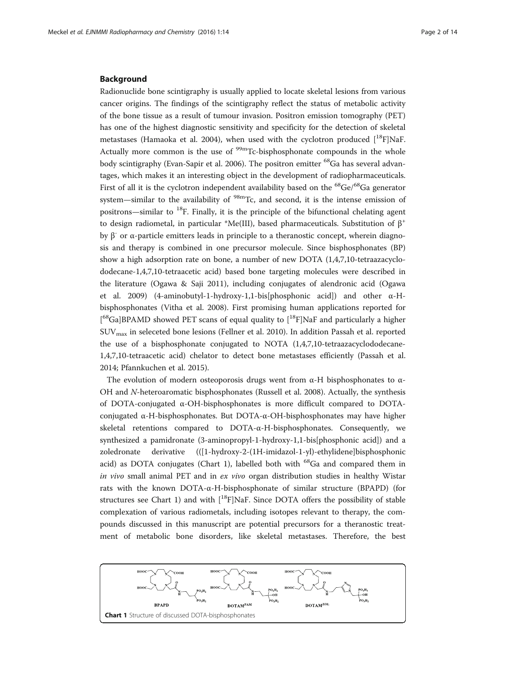## Background

Radionuclide bone scintigraphy is usually applied to locate skeletal lesions from various cancer origins. The findings of the scintigraphy reflect the status of metabolic activity of the bone tissue as a result of tumour invasion. Positron emission tomography (PET) has one of the highest diagnostic sensitivity and specificity for the detection of skeletal metastases (Hamaoka et al. [2004\)](#page-12-0), when used with the cyclotron produced  $\binom{18}{1}$ NaF. Actually more common is the use of  $\rm{^{99m}Tc}$ -bisphosphonate compounds in the whole body scintigraphy (Evan-Sapir et al. [2006\)](#page-12-0). The positron emitter <sup>68</sup>Ga has several advantages, which makes it an interesting object in the development of radiopharmaceuticals. First of all it is the cyclotron independent availability based on the  ${}^{68}Ge/{}^{68}Ga$  generator system—similar to the availability of  $98m$ Tc, and second, it is the intense emission of positrons—similar to 18F. Finally, it is the principle of the bifunctional chelating agent to design radiometal, in particular \*Me(III), based pharmaceuticals. Substitution of  $\beta^+$ by β<sup>-</sup> or α-particle emitters leads in principle to a theranostic concept, wherein diagnosis and therapy is combined in one precursor molecule. Since bisphosphonates (BP) show a high adsorption rate on bone, a number of new DOTA (1,4,7,10-tetraazacyclododecane-1,4,7,10-tetraacetic acid) based bone targeting molecules were described in the literature (Ogawa & Saji [2011\)](#page-12-0), including conjugates of alendronic acid (Ogawa et al. [2009](#page-12-0)) (4-aminobutyl-1-hydroxy-1,1-bis[phosphonic acid]) and other α-Hbisphosphonates (Vitha et al. [2008\)](#page-13-0). First promising human applications reported for [<sup>68</sup>Ga]BPAMD showed PET scans of equal quality to [<sup>18</sup>F]NaF and particularly a higher SUVmax in seleceted bone lesions (Fellner et al. [2010](#page-12-0)). In addition Passah et al. reported the use of a bisphosphonate conjugated to NOTA (1,4,7,10-tetraazacyclododecane-1,4,7,10-tetraacetic acid) chelator to detect bone metastases efficiently (Passah et al. [2014](#page-12-0); Pfannkuchen et al. [2015\)](#page-12-0).

The evolution of modern osteoporosis drugs went from  $\alpha$ -H bisphosphonates to  $\alpha$ -OH and N-heteroaromatic bisphosphonates (Russell et al. [2008\)](#page-13-0). Actually, the synthesis of DOTA-conjugated  $\alpha$ -OH-bisphosphonates is more difficult compared to DOTAconjugated α-H-bisphosphonates. But DOTA-α-OH-bisphosphonates may have higher skeletal retentions compared to  $DOTA-\alpha$ -H-bisphosphonates. Consequently, we synthesized a pamidronate (3-aminopropyl-1-hydroxy-1,1-bis[phosphonic acid]) and a zoledronate derivative (([1-hydroxy-2-(1H-imidazol-1-yl)-ethylidene]bisphosphonic acid) as DOTA conjugates (Chart 1), labelled both with  $^{68}$ Ga and compared them in in vivo small animal PET and in  $ex$  vivo organ distribution studies in healthy Wistar rats with the known DOTA-α-H-bisphosphonate of similar structure (BPAPD) (for structures see Chart 1) and with  $\binom{18}{1}$ NaF. Since DOTA offers the possibility of stable complexation of various radiometals, including isotopes relevant to therapy, the compounds discussed in this manuscript are potential precursors for a theranostic treatment of metabolic bone disorders, like skeletal metastases. Therefore, the best

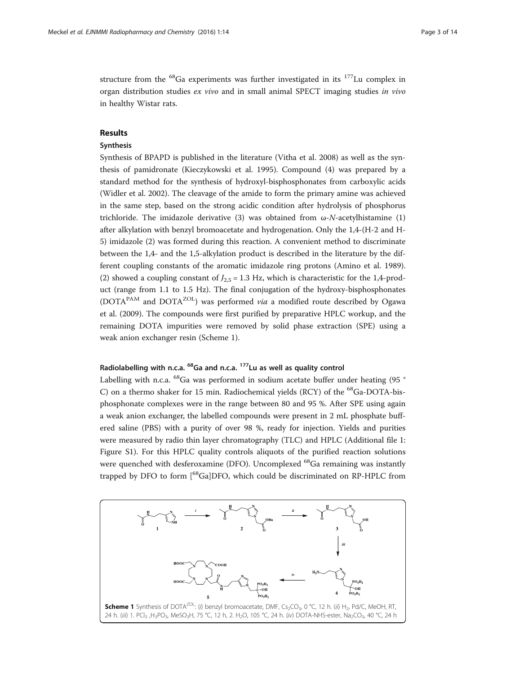structure from the  ${}^{68}$ Ga experiments was further investigated in its  ${}^{177}$ Lu complex in organ distribution studies ex vivo and in small animal SPECT imaging studies in vivo in healthy Wistar rats.

# Results

### Synthesis

Synthesis of BPAPD is published in the literature (Vitha et al. [2008](#page-13-0)) as well as the synthesis of pamidronate (Kieczykowski et al. [1995](#page-12-0)). Compound (4) was prepared by a standard method for the synthesis of hydroxyl-bisphosphonates from carboxylic acids (Widler et al. [2002\)](#page-13-0). The cleavage of the amide to form the primary amine was achieved in the same step, based on the strong acidic condition after hydrolysis of phosphorus trichloride. The imidazole derivative (3) was obtained from  $\omega$ -N-acetylhistamine (1) after alkylation with benzyl bromoacetate and hydrogenation. Only the 1,4-(H-2 and H-5) imidazole (2) was formed during this reaction. A convenient method to discriminate between the 1,4- and the 1,5-alkylation product is described in the literature by the different coupling constants of the aromatic imidazole ring protons (Amino et al. [1989](#page-12-0)). (2) showed a coupling constant of  $J_{2.5} = 1.3$  Hz, which is characteristic for the 1,4-product (range from 1.1 to 1.5 Hz). The final conjugation of the hydroxy-bisphosphonates (DOTA<sup>PAM</sup> and DOTA<sup>ZOL</sup>) was performed via a modified route described by Ogawa et al. ([2009\)](#page-12-0). The compounds were first purified by preparative HPLC workup, and the remaining DOTA impurities were removed by solid phase extraction (SPE) using a weak anion exchanger resin (Scheme 1).

## Radiolabelling with n.c.a.  $^{68}$ Ga and n.c.a.  $^{177}$ Lu as well as quality control

Labelling with n.c.a.  $^{68}$ Ga was performed in sodium acetate buffer under heating (95  $^{\circ}$ C) on a thermo shaker for 15 min. Radiochemical yields (RCY) of the <sup>68</sup>Ga-DOTA-bisphosphonate complexes were in the range between 80 and 95 %. After SPE using again a weak anion exchanger, the labelled compounds were present in 2 mL phosphate buffered saline (PBS) with a purity of over 98 %, ready for injection. Yields and purities were measured by radio thin layer chromatography (TLC) and HPLC (Additional file [1](#page-12-0): Figure S1). For this HPLC quality controls aliquots of the purified reaction solutions were quenched with desferoxamine (DFO). Uncomplexed <sup>68</sup>Ga remaining was instantly trapped by DFO to form [<sup>68</sup>Ga]DFO, which could be discriminated on RP-HPLC from

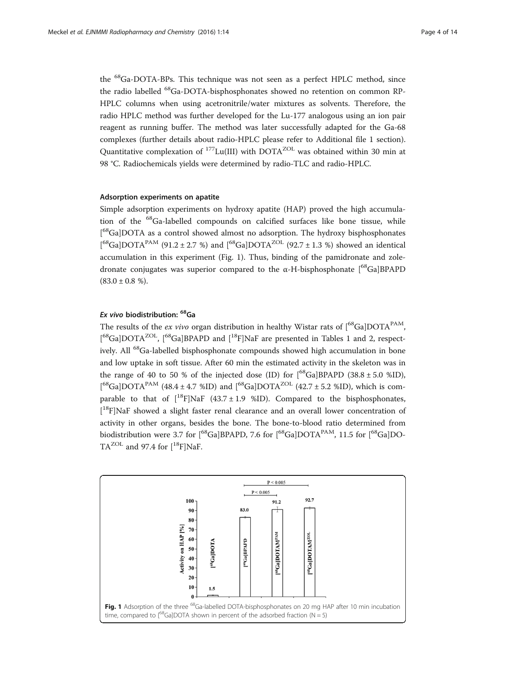the <sup>68</sup>Ga-DOTA-BPs. This technique was not seen as a perfect HPLC method, since the radio labelled <sup>68</sup>Ga-DOTA-bisphosphonates showed no retention on common RP-HPLC columns when using acetronitrile/water mixtures as solvents. Therefore, the radio HPLC method was further developed for the Lu-177 analogous using an ion pair reagent as running buffer. The method was later successfully adapted for the Ga-68 complexes (further details about radio-HPLC please refer to Additional file [1](#page-12-0) section). Quantitative complexation of  $^{177}$ Lu(III) with DOTA<sup>ZOL</sup> was obtained within 30 min at 98 °C. Radiochemicals yields were determined by radio-TLC and radio-HPLC.

#### Adsorption experiments on apatite

Simple adsorption experiments on hydroxy apatite (HAP) proved the high accumulation of the 68Ga-labelled compounds on calcified surfaces like bone tissue, while [<sup>68</sup>Ga]DOTA as a control showed almost no adsorption. The hydroxy bisphosphonates [<sup>68</sup>Ga]DOTA<sup>PAM</sup> (91.2 ± 2.7 %) and [<sup>68</sup>Ga]DOTA<sup>ZOL</sup> (92.7 ± 1.3 %) showed an identical accumulation in this experiment (Fig. 1). Thus, binding of the pamidronate and zoledronate conjugates was superior compared to the  $\alpha$ -H-bisphosphonate  $[$ <sup>68</sup>Ga]BPAPD  $(83.0 \pm 0.8 \%)$ .

## Ex vivo biodistribution: 68Ga

The results of the ex vivo organ distribution in healthy Wistar rats of  $\left[{}^{68}Ga\right]DOTA^{PAM}$ , [<sup>68</sup>Ga]DOTA<sup>ZOL</sup>, [<sup>68</sup>Ga]BPAPD and [<sup>18</sup>F]NaF are presented in Tables [1](#page-4-0) and [2](#page-4-0), respectively. All <sup>68</sup>Ga-labelled bisphosphonate compounds showed high accumulation in bone and low uptake in soft tissue. After 60 min the estimated activity in the skeleton was in the range of 40 to 50 % of the injected dose (ID) for  $\binom{68}{9}$  Ga BPAPD (38.8 ± 5.0 %ID), [<sup>68</sup>Ga]DOTA<sup>PAM</sup> (48.4 ± 4.7 %ID) and [<sup>68</sup>Ga]DOTA<sup>ZOL</sup> (42.7 ± 5.2 %ID), which is comparable to that of  $[$ <sup>18</sup>F]NaF (43.7 ± 1.9 %ID). Compared to the bisphosphonates, [<sup>18</sup>F]NaF showed a slight faster renal clearance and an overall lower concentration of activity in other organs, besides the bone. The bone-to-blood ratio determined from biodistribution were 3.7 for  $[68\text{Ga}]\text{BPAPD}$ , 7.6 for  $[68\text{Ga}]\text{DOTA}^{\text{PAM}}$ , 11.5 for  $[68\text{Ga}]\text{DO}$ - $TA^{\text{ZOL}}$  and 97.4 for  $[{}^{18}F]NaF$ .

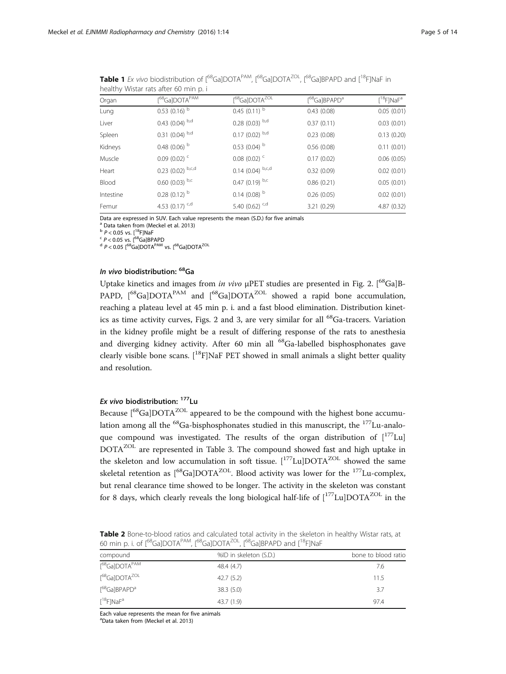| $r$ realtrix visital rats arter of $r$ $\ldots$ $p$ . |                                 |                                          |                                       |                                      |  |  |  |  |
|-------------------------------------------------------|---------------------------------|------------------------------------------|---------------------------------------|--------------------------------------|--|--|--|--|
| Organ                                                 | $[$ <sup>68</sup> Ga]DOTA $PAM$ | $[$ <sup>68</sup> Ga]DOTA <sup>ZOL</sup> | [ <sup>68</sup> Ga]BPAPD <sup>a</sup> | $[$ <sup>18</sup> F]NaF <sup>a</sup> |  |  |  |  |
| Lung                                                  | $0.53(0.16)$ <sup>b</sup>       | 0.45 (0.11) $^{\rm b}$                   | 0.43(0.08)                            | 0.05(0.01)                           |  |  |  |  |
| Liver                                                 | $0.43$ (0.04) $^{b,d}$          | $0.28$ (0.03) $^{b,d}$                   | 0.37(0.11)                            | 0.03(0.01)                           |  |  |  |  |
| Spleen                                                | $0.31(0.04)$ b,d                | $0.17$ (0.02) $^{b,d}$                   | 0.23(0.08)                            | 0.13(0.20)                           |  |  |  |  |
| Kidneys                                               | 0.48 (0.06) $^{\rm b}$          | $0.53$ (0.04) $^{\rm b}$                 | 0.56(0.08)                            | 0.11(0.01)                           |  |  |  |  |
| Muscle                                                | $0.09(0.02)^{c}$                | $0.08(0.02)^{c}$                         | 0.17(0.02)                            | 0.06(0.05)                           |  |  |  |  |
| Heart                                                 | $0.23$ (0.02) $b,c,d$           | $0.14$ (0.04) $b, c, d$                  | 0.32(0.09)                            | 0.02(0.01)                           |  |  |  |  |
| Blood                                                 | $0.60(0.03)$ b,c                | $0.47$ (0.19) b,c                        | 0.86(0.21)                            | 0.05(0.01)                           |  |  |  |  |
| Intestine                                             | $0.28(0.12)$ <sup>b</sup>       | $0.14$ (0.08) <sup>b</sup>               | 0.26(0.05)                            | 0.02(0.01)                           |  |  |  |  |
| Femur                                                 | 4.53 (0.17) $c,d$               | 5.40 $(0.62)$ <sup>c,d</sup>             | 3.21 (0.29)                           | 4.87(0.32)                           |  |  |  |  |

<span id="page-4-0"></span>Table 1 Ex vivo biodistribution of  $1^{68}$ GalDOTA<sup>PAM</sup>,  $1^{68}$ GalDOTA<sup>ZOL</sup>,  $1^{68}$ GalBPAPD and  $1^{18}$ FINaF in healthy Wistar rats after 60 min n i

Data are expressed in SUV. Each value represents the mean (S.D.) for five animals  $a^a$  Data taken from (Meckel et al. 2013)

 $^{\text{b}}$  P < 0.05 vs. [<sup>18</sup>F]NaF<br><sup>c</sup> P < 0.05 vs. [<sup>68</sup>Ga]BPAPD<br><sup>d</sup> P < 0.05 [<sup>68</sup>Ga]DOTA<sup>PAM</sup> vs. [<sup>68</sup>Ga]DOTA<sup>ZOL</sup>

## In vivo biodistribution: 68Ga

Uptake kinetics and images from in vivo  $\mu$ PET studies are presented in Fig. [2](#page-5-0). [<sup>68</sup>Ga]B-PAPD,  $[68Ga]$ DOTA<sup>PAM</sup> and  $[68Ga]$ DOTA<sup>ZOL</sup> showed a rapid bone accumulation, reaching a plateau level at 45 min p. i. and a fast blood elimination. Distribution kinet-ics as time activity curves, Figs. [2](#page-5-0) and [3](#page-5-0), are very similar for all  $^{68}$ Ga-tracers. Variation in the kidney profile might be a result of differing response of the rats to anesthesia and diverging kidney activity. After 60 min all <sup>68</sup>Ga-labelled bisphosphonates gave clearly visible bone scans.  $[$ <sup>18</sup>F]NaF PET showed in small animals a slight better quality and resolution.

# Ex vivo biodistribution: 177Lu

Because [<sup>68</sup>Ga]DOTA<sup>ZOL</sup> appeared to be the compound with the highest bone accumulation among all the <sup>68</sup>Ga-bisphosphonates studied in this manuscript, the <sup>177</sup>Lu-analoque compound was investigated. The results of the organ distribution of  $[177 \text{Lu}]$ DOTA<sup>ZOL</sup> are represented in Table [3](#page-6-0). The compound showed fast and high uptake in the skeleton and low accumulation in soft tissue.  $[177 \text{Lu}]$ DOTA<sup>ZOL</sup> showed the same skeletal retention as  $[68Ga]$ DOTA<sup>ZOL</sup>. Blood activity was lower for the  $177$ Lu-complex, but renal clearance time showed to be longer. The activity in the skeleton was constant for 8 days, which clearly reveals the long biological half-life of  $[177 \text{Lu}]$ DOTA<sup>ZOL</sup> in the

Table 2 Bone-to-blood ratios and calculated total activity in the skeleton in healthy Wistar rats, at 60 min p. i. of [68Ga]DOTAPAM, [68Ga]DOTAZOL, [68Ga]BPAPD and [18F]NaF

| compound                                 | %ID in skeleton (S.D.) | bone to blood ratio |
|------------------------------------------|------------------------|---------------------|
| $[$ <sup>68</sup> Ga]DOTA <sup>PAM</sup> | 48.4 (4.7)             | 7.6                 |
| $[$ <sup>68</sup> Ga]DOTA <sup>ZOL</sup> | 42.7(5.2)              | 115                 |
| $\lceil^{68}$ Ga]BPAPD <sup>a</sup>      | 38.3(5.0)              | 3.7                 |
| $[$ <sup>18</sup> F]NaF <sup>a</sup>     | 43.7(1.9)              | 97.4                |

Each value represents the mean for five animals

a Data taken from (Meckel et al. [2013\)](#page-12-0)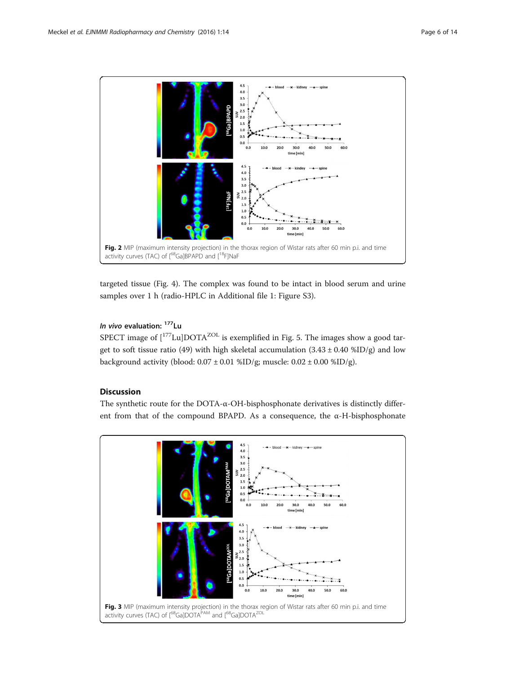<span id="page-5-0"></span>

targeted tissue (Fig. [4\)](#page-6-0). The complex was found to be intact in blood serum and urine samples over 1 h (radio-HPLC in Additional file [1:](#page-12-0) Figure S3).

# In vivo evaluation: <sup>177</sup>Lu

SPECT image of  $\left[1^{177}$ Lu $\left[$ DOTA<sup>ZOL</sup> is exemplified in Fig. [5.](#page-7-0) The images show a good target to soft tissue ratio (49) with high skeletal accumulation  $(3.43 \pm 0.40 \text{ %ID/g})$  and low background activity (blood:  $0.07 \pm 0.01$  %ID/g; muscle:  $0.02 \pm 0.00$  %ID/g).

# **Discussion**

The synthetic route for the DOTA- $\alpha$ -OH-bisphosphonate derivatives is distinctly different from that of the compound BPAPD. As a consequence, the α-H-bisphosphonate

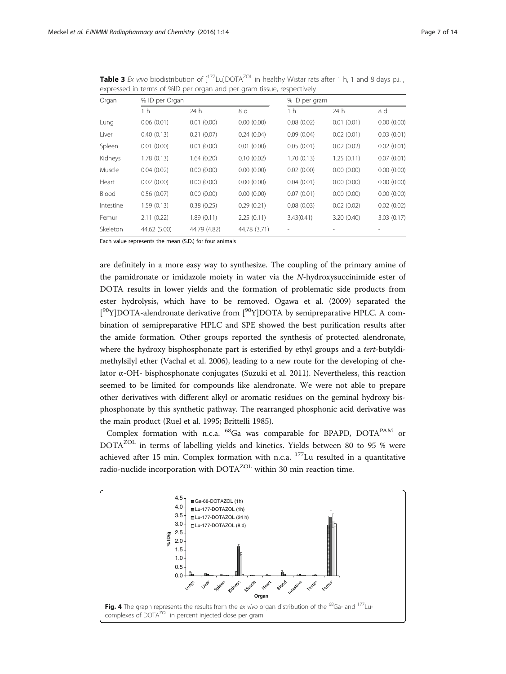| Organ     |              | % ID per Organ |              |            | % ID per gram |            |  |
|-----------|--------------|----------------|--------------|------------|---------------|------------|--|
|           | 1 h          | 24 h           | 8 d          | 1 h        | 24 h          | 8 d        |  |
| Lung      | 0.06(0.01)   | 0.01(0.00)     | 0.00(0.00)   | 0.08(0.02) | 0.01(0.01)    | 0.00(0.00) |  |
| Liver     | 0.40(0.13)   | 0.21(0.07)     | 0.24(0.04)   | 0.09(0.04) | 0.02(0.01)    | 0.03(0.01) |  |
| Spleen    | 0.01(0.00)   | 0.01(0.00)     | 0.01(0.00)   | 0.05(0.01) | 0.02(0.02)    | 0.02(0.01) |  |
| Kidneys   | 1.78(0.13)   | 1.64(0.20)     | 0.10(0.02)   | 1.70(0.13) | 1.25(0.11)    | 0.07(0.01) |  |
| Muscle    | 0.04(0.02)   | 0.00(0.00)     | 0.00(0.00)   | 0.02(0.00) | 0.00(0.00)    | 0.00(0.00) |  |
| Heart     | 0.02(0.00)   | 0.00(0.00)     | 0.00(0.00)   | 0.04(0.01) | 0.00(0.00)    | 0.00(0.00) |  |
| Blood     | 0.56(0.07)   | 0.00(0.00)     | 0.00(0.00)   | 0.07(0.01) | 0.00(0.00)    | 0.00(0.00) |  |
| Intestine | 1.59(0.13)   | 0.38(0.25)     | 0.29(0.21)   | 0.08(0.03) | 0.02(0.02)    | 0.02(0.02) |  |
| Femur     | 2.11(0.22)   | 1.89(0.11)     | 2.25(0.11)   | 3.43(0.41) | 3.20(0.40)    | 3.03(0.17) |  |
| Skeleton  | 44.62 (5.00) | 44.79 (4.82)   | 44.78 (3.71) |            |               |            |  |

<span id="page-6-0"></span>**Table 3** Ex vivo biodistribution of  $[177$ Lu]DOTA<sup>ZOL</sup> in healthy Wistar rats after 1 h, 1 and 8 days p.i., expressed in terms of %ID per organ and per gram tissue, respectively

Each value represents the mean (S.D.) for four animals

are definitely in a more easy way to synthesize. The coupling of the primary amine of the pamidronate or imidazole moiety in water via the N-hydroxysuccinimide ester of DOTA results in lower yields and the formation of problematic side products from ester hydrolysis, which have to be removed. Ogawa et al. ([2009](#page-12-0)) separated the [<sup>90</sup>Y]DOTA-alendronate derivative from [<sup>90</sup>Y]DOTA by semipreparative HPLC. A combination of semipreparative HPLC and SPE showed the best purification results after the amide formation. Other groups reported the synthesis of protected alendronate, where the hydroxy bisphosphonate part is esterified by ethyl groups and a tert-butyldimethylsilyl ether (Vachal et al. [2006](#page-13-0)), leading to a new route for the developing of chelator α-OH- bisphosphonate conjugates (Suzuki et al. [2011\)](#page-13-0). Nevertheless, this reaction seemed to be limited for compounds like alendronate. We were not able to prepare other derivatives with different alkyl or aromatic residues on the geminal hydroxy bisphosphonate by this synthetic pathway. The rearranged phosphonic acid derivative was the main product (Ruel et al. [1995;](#page-13-0) Brittelli [1985\)](#page-12-0).

Complex formation with n.c.a.  $^{68}$ Ga was comparable for BPAPD, DOTA<sup>PAM</sup> or DOTA<sup>ZOL</sup> in terms of labelling yields and kinetics. Yields between 80 to 95 % were achieved after 15 min. Complex formation with n.c.a.  $177$  Lu resulted in a quantitative radio-nuclide incorporation with DOTA<sup>ZOL</sup> within 30 min reaction time.

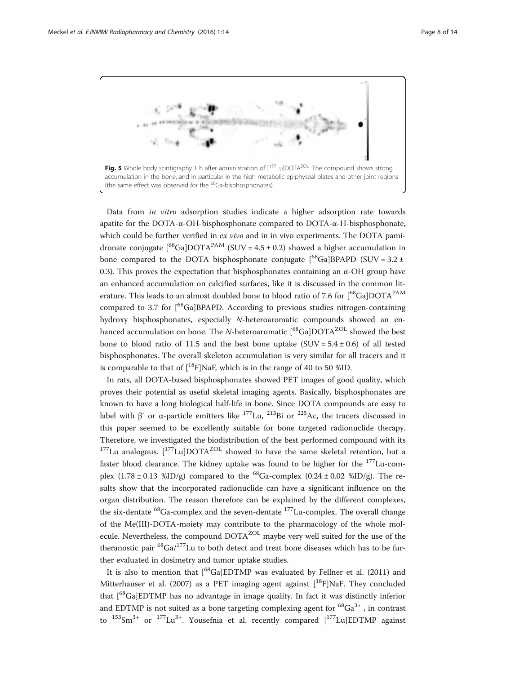<span id="page-7-0"></span>

Data from in vitro adsorption studies indicate a higher adsorption rate towards apatite for the DOTA-α-OH-bisphosphonate compared to DOTA-α-H-bisphosphonate, which could be further verified in  $ex$  vivo and in in vivo experiments. The DOTA pamidronate conjugate  $\binom{68}{9}$ Ga]DOTA<sup>PAM</sup> (SUV = 4.5 ± 0.2) showed a higher accumulation in bone compared to the DOTA bisphosphonate conjugate  $[{}^{68}Ga]BPAPD$  (SUV = 3.2 ± 0.3). This proves the expectation that bisphosphonates containing an  $\alpha$ -OH group have an enhanced accumulation on calcified surfaces, like it is discussed in the common literature. This leads to an almost doubled bone to blood ratio of 7.6 for  $[{}^{68}Ga]$ DOTA<sup>PAM</sup> compared to 3.7 for [<sup>68</sup>Ga]BPAPD. According to previous studies nitrogen-containing hydroxy bisphosphonates, especially N-heteroaromatic compounds showed an enhanced accumulation on bone. The N-heteroaromatic  $[{}^{68}Ga]$ DOTA<sup>ZOL</sup> showed the best bone to blood ratio of 11.5 and the best bone uptake (SUV =  $5.4 \pm 0.6$ ) of all tested bisphosphonates. The overall skeleton accumulation is very similar for all tracers and it is comparable to that of  $\binom{18}{1}NaF$ , which is in the range of 40 to 50 %ID.

In rats, all DOTA-based bisphosphonates showed PET images of good quality, which proves their potential as useful skeletal imaging agents. Basically, bisphosphonates are known to have a long biological half-life in bone. Since DOTA compounds are easy to label with β<sup>-</sup> or α-particle emitters like <sup>177</sup>Lu, <sup>213</sup>Bi or <sup>225</sup>Ac, the tracers discussed in this paper seemed to be excellently suitable for bone targeted radionuclide therapy. Therefore, we investigated the biodistribution of the best performed compound with its  $177$ Lu analogous.  $177$ Lu]DOTA<sup>ZOL</sup> showed to have the same skeletal retention, but a faster blood clearance. The kidney uptake was found to be higher for the  $177$ Lu-complex  $(1.78 \pm 0.13 \text{ %ID/g})$  compared to the <sup>68</sup>Ga-complex  $(0.24 \pm 0.02 \text{ %ID/g})$ . The results show that the incorporated radionuclide can have a significant influence on the organ distribution. The reason therefore can be explained by the different complexes, the six-dentate  ${}^{68}$ Ga-complex and the seven-dentate  ${}^{177}$ Lu-complex. The overall change of the Me(III)-DOTA-moiety may contribute to the pharmacology of the whole molecule. Nevertheless, the compound DOTA<sup>ZOL</sup> maybe very well suited for the use of the theranostic pair  ${}^{68}$ Ga/<sup>177</sup>Lu to both detect and treat bone diseases which has to be further evaluated in dosimetry and tumor uptake studies.

It is also to mention that  $[{}^{68}Ga]EDTMP$  was evaluated by Fellner et al. ([2011](#page-12-0)) and Mitterhauser et al. [\(2007\)](#page-12-0) as a PET imaging agent against  $[$ <sup>18</sup>F]NaF. They concluded that [68Ga]EDTMP has no advantage in image quality. In fact it was distinctly inferior and EDTMP is not suited as a bone targeting complexing agent for  ${}^{68}Ga^{3+}$ , in contrast to  $^{153}Sm^{3+}$  or  $^{177}Lu^{3+}$ . Yousefnia et al. recently compared  $[^{177}Lu]EDTMP$  against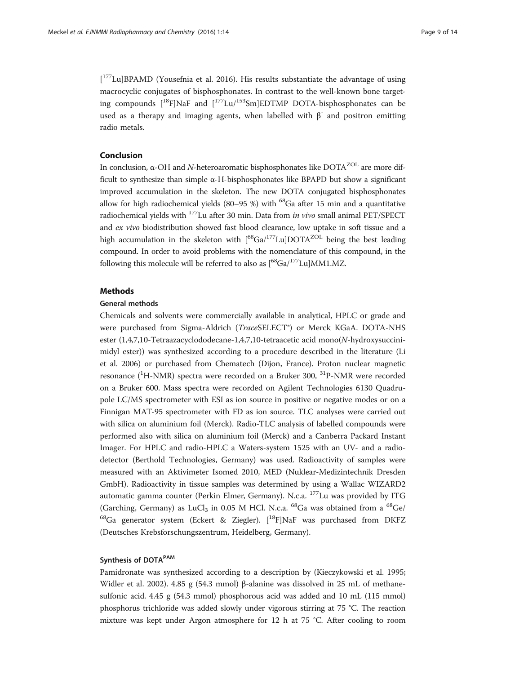[<sup>177</sup>Lu]BPAMD (Yousefnia et al. [2016](#page-13-0)). His results substantiate the advantage of using macrocyclic conjugates of bisphosphonates. In contrast to the well-known bone targeting compounds  $[18F]$ NaF and  $[177Lu/153Sm]EDTMP$  DOTA-bisphosphonates can be used as a therapy and imaging agents, when labelled with  $\beta^-$  and positron emitting radio metals.

## Conclusion

In conclusion, α-OH and N-heteroaromatic bisphosphonates like  $DOTA<sup>ZOL</sup>$  are more difficult to synthesize than simple  $\alpha$ -H-bisphosphonates like BPAPD but show a significant improved accumulation in the skeleton. The new DOTA conjugated bisphosphonates allow for high radiochemical yields (80–95 %) with  $^{68}$ Ga after 15 min and a quantitative radiochemical yields with 177Lu after 30 min. Data from in vivo small animal PET/SPECT and ex vivo biodistribution showed fast blood clearance, low uptake in soft tissue and a high accumulation in the skeleton with  $[{}^{68}Ga/{}^{177}Lu]$ DOTA<sup>ZOL</sup> being the best leading compound. In order to avoid problems with the nomenclature of this compound, in the following this molecule will be referred to also as  $\binom{68}{9}a^{177}$ Lu]MM1.MZ.

#### Methods

#### General methods

Chemicals and solvents were commercially available in analytical, HPLC or grade and were purchased from Sigma-Aldrich (*TraceSELECT<sup>®</sup>*) or Merck KGaA. DOTA-NHS ester (1,4,7,10-Tetraazacyclododecane-1,4,7,10-tetraacetic acid mono(N-hydroxysuccinimidyl ester)) was synthesized according to a procedure described in the literature (Li et al. [2006\)](#page-12-0) or purchased from Chematech (Dijon, France). Proton nuclear magnetic resonance (<sup>1</sup>H-NMR) spectra were recorded on a Bruker 300, <sup>31</sup>P-NMR were recorded on a Bruker 600. Mass spectra were recorded on Agilent Technologies 6130 Quadrupole LC/MS spectrometer with ESI as ion source in positive or negative modes or on a Finnigan MAT-95 spectrometer with FD as ion source. TLC analyses were carried out with silica on aluminium foil (Merck). Radio-TLC analysis of labelled compounds were performed also with silica on aluminium foil (Merck) and a Canberra Packard Instant Imager. For HPLC and radio-HPLC a Waters-system 1525 with an UV- and a radiodetector (Berthold Technologies, Germany) was used. Radioactivity of samples were measured with an Aktivimeter Isomed 2010, MED (Nuklear-Medizintechnik Dresden GmbH). Radioactivity in tissue samples was determined by using a Wallac WIZARD2 automatic gamma counter (Perkin Elmer, Germany). N.c.a. <sup>177</sup>Lu was provided by ITG (Garching, Germany) as LuCl<sub>3</sub> in 0.05 M HCl. N.c.a.  $^{68}$ Ga was obtained from a  $^{68}$ Ge/ <sup>68</sup>Ga generator system (Eckert & Ziegler).  $\left[ {}^{18}F\right]$ NaF was purchased from DKFZ (Deutsches Krebsforschungszentrum, Heidelberg, Germany).

#### Synthesis of DOTA<sup>PAM</sup>

Pamidronate was synthesized according to a description by (Kieczykowski et al. [1995](#page-12-0); Widler et al. [2002\)](#page-13-0). 4.85 g (54.3 mmol) β-alanine was dissolved in 25 mL of methanesulfonic acid. 4.45 g (54.3 mmol) phosphorous acid was added and 10 mL (115 mmol) phosphorus trichloride was added slowly under vigorous stirring at 75 °C. The reaction mixture was kept under Argon atmosphere for 12 h at 75 °C. After cooling to room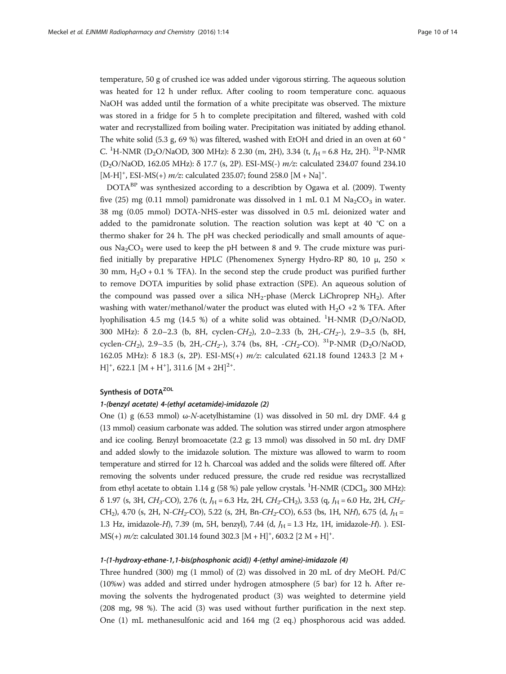temperature, 50 g of crushed ice was added under vigorous stirring. The aqueous solution was heated for 12 h under reflux. After cooling to room temperature conc. aquaous NaOH was added until the formation of a white precipitate was observed. The mixture was stored in a fridge for 5 h to complete precipitation and filtered, washed with cold water and recrystallized from boiling water. Precipitation was initiated by adding ethanol. The white solid (5.3 g, 69 %) was filtered, washed with EtOH and dried in an oven at 60 ° C. <sup>1</sup>H-NMR (D<sub>2</sub>O/NaOD, 300 MHz): δ 2.30 (m, 2H), 3.34 (t,  $J_H$  = 6.8 Hz, 2H). <sup>31</sup>P-NMR (D2O/NaOD, 162.05 MHz): δ 17.7 (s, 2P). ESI-MS(-) m/z: calculated 234.07 found 234.10 [M-H]<sup>+</sup>, ESI-MS(+)  $m/z$ : calculated 235.07; found 258.0 [M + Na]<sup>+</sup>.

DOTA<sup>BP</sup> was synthesized according to a describtion by Ogawa et al. [\(2009\)](#page-12-0). Twenty five (25) mg (0.11 mmol) pamidronate was dissolved in 1 mL 0.1 M  $\text{Na}_2\text{CO}_3$  in water. 38 mg (0.05 mmol) DOTA-NHS-ester was dissolved in 0.5 mL deionized water and added to the pamidronate solution. The reaction solution was kept at 40 °C on a thermo shaker for 24 h. The pH was checked periodically and small amounts of aqueous  $Na<sub>2</sub>CO<sub>3</sub>$  were used to keep the pH between 8 and 9. The crude mixture was purified initially by preparative HPLC (Phenomenex Synergy Hydro-RP 80, 10 μ, 250 × 30 mm,  $H_2O + 0.1$  % TFA). In the second step the crude product was purified further to remove DOTA impurities by solid phase extraction (SPE). An aqueous solution of the compound was passed over a silica  $NH<sub>2</sub>$ -phase (Merck LiChroprep  $NH<sub>2</sub>$ ). After washing with water/methanol/water the product was eluted with  $H_2O + 2$  % TFA. After lyophilisation 4.5 mg (14.5 %) of a white solid was obtained.  $\mathrm{^{1}H}\text{-NMR}$  (D<sub>2</sub>O/NaOD, 300 MHz):  $\delta$  2.0–2.3 (b, 8H, cyclen-CH<sub>2</sub>), 2.0–2.33 (b, 2H,-CH<sub>2</sub>-), 2.9–3.5 (b, 8H, cyclen-CH<sub>2</sub>), 2.9–3.5 (b, 2H,-CH<sub>2</sub>-), 3.74 (bs, 8H, -CH<sub>2</sub>-CO). <sup>31</sup>P-NMR (D<sub>2</sub>O/NaOD, 162.05 MHz): δ 18.3 (s, 2P). ESI-MS(+) m/z: calculated 621.18 found 1243.3 [2 M +  $[H]^+$ , 622.1 [M + H<sup>+</sup>], 311.6 [M + 2H]<sup>2+</sup>.

## Synthesis of DOTA<sup>ZOL</sup>

#### 1-(benzyl acetate) 4-(ethyl acetamide)-imidazole (2)

One (1) g (6.53 mmol)  $\omega$ -N-acetylhistamine (1) was dissolved in 50 mL dry DMF. 4.4 g (13 mmol) ceasium carbonate was added. The solution was stirred under argon atmosphere and ice cooling. Benzyl bromoacetate (2.2 g; 13 mmol) was dissolved in 50 mL dry DMF and added slowly to the imidazole solution. The mixture was allowed to warm to room temperature and stirred for 12 h. Charcoal was added and the solids were filtered off. After removing the solvents under reduced pressure, the crude red residue was recrystallized from ethyl acetate to obtain  $1.14$  g (58 %) pale yellow crystals. <sup>1</sup>H-NMR (CDCl<sub>3</sub>, 300 MHz):  $\delta$  1.97 (s, 3H, CH<sub>3</sub>-CO), 2.76 (t,  $J_H$  = 6.3 Hz, 2H, CH<sub>2</sub>-CH<sub>2</sub>), 3.53 (q,  $J_H$  = 6.0 Hz, 2H, CH<sub>2</sub>-CH<sub>2</sub>), 4.70 (s, 2H, N-CH<sub>2</sub>-CO), 5.22 (s, 2H, Bn-CH<sub>2</sub>-CO), 6.53 (bs, 1H, NH), 6.75 (d,  $J_H$  = 1.3 Hz, imidazole-H), 7.39 (m, 5H, benzyl), 7.44 (d,  $J<sub>H</sub> = 1.3$  Hz, 1H, imidazole-H). ). ESI- $MS(+)$   $m/z$ : calculated 301.14 found 302.3  $[M + H]$ <sup>+</sup>, 603.2  $[2 M + H]$ <sup>+</sup>.

### 1-(1-hydroxy-ethane-1,1-bis(phosphonic acid)) 4-(ethyl amine)-imidazole (4)

Three hundred (300) mg (1 mmol) of (2) was dissolved in 20 mL of dry MeOH. Pd/C (10%w) was added and stirred under hydrogen atmosphere (5 bar) for 12 h. After removing the solvents the hydrogenated product (3) was weighted to determine yield (208 mg, 98 %). The acid (3) was used without further purification in the next step. One (1) mL methanesulfonic acid and 164 mg (2 eq.) phosphorous acid was added.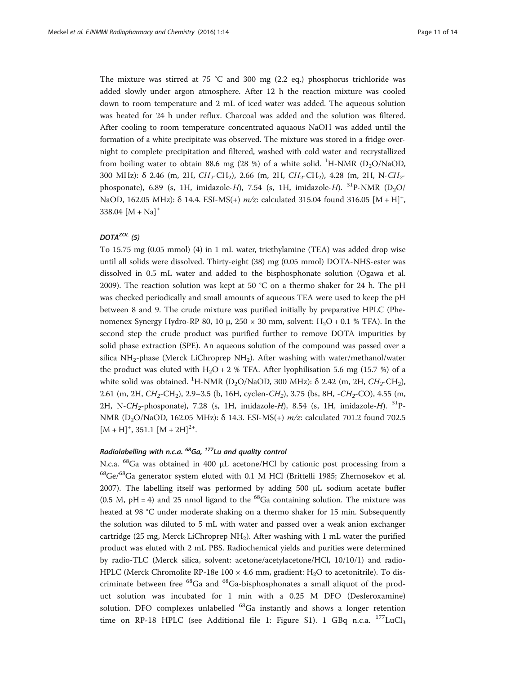The mixture was stirred at 75 °C and 300 mg (2.2 eq.) phosphorus trichloride was added slowly under argon atmosphere. After 12 h the reaction mixture was cooled down to room temperature and 2 mL of iced water was added. The aqueous solution was heated for 24 h under reflux. Charcoal was added and the solution was filtered. After cooling to room temperature concentrated aquaous NaOH was added until the formation of a white precipitate was observed. The mixture was stored in a fridge overnight to complete precipitation and filtered, washed with cold water and recrystallized from boiling water to obtain 88.6 mg (28 %) of a white solid. <sup>1</sup>H-NMR (D<sub>2</sub>O/NaOD, 300 MHz): δ 2.46 (m, 2H,  $CH_2$ -CH<sub>2</sub>), 2.66 (m, 2H,  $CH_2$ -CH<sub>2</sub>), 4.28 (m, 2H, N-CH<sub>2</sub>phosponate), 6.89 (s, 1H, imidazole-H), 7.54 (s, 1H, imidazole-H).  $^{31}$ P-NMR (D<sub>2</sub>O/ NaOD, 162.05 MHz):  $\delta$  14.4. ESI-MS(+)  $m/z$ : calculated 315.04 found 316.05  $[M + H]$ <sup>+</sup>, 338.04  $[M + Na]$ <sup>+</sup>

## $DOTA^{ZOL}$  (5)

To 15.75 mg (0.05 mmol) (4) in 1 mL water, triethylamine (TEA) was added drop wise until all solids were dissolved. Thirty-eight (38) mg (0.05 mmol) DOTA-NHS-ester was dissolved in 0.5 mL water and added to the bisphosphonate solution (Ogawa et al. [2009](#page-12-0)). The reaction solution was kept at 50 °C on a thermo shaker for 24 h. The pH was checked periodically and small amounts of aqueous TEA were used to keep the pH between 8 and 9. The crude mixture was purified initially by preparative HPLC (Phenomenex Synergy Hydro-RP 80, 10 μ,  $250 \times 30$  mm, solvent: H<sub>2</sub>O + 0.1 % TFA). In the second step the crude product was purified further to remove DOTA impurities by solid phase extraction (SPE). An aqueous solution of the compound was passed over a silica NH<sub>2</sub>-phase (Merck LiChroprep NH<sub>2</sub>). After washing with water/methanol/water the product was eluted with  $H_2O + 2$  % TFA. After lyophilisation 5.6 mg (15.7 %) of a white solid was obtained. <sup>1</sup>H-NMR (D<sub>2</sub>O/NaOD, 300 MHz):  $\delta$  2.42 (m, 2H,  $CH_2$ -CH<sub>2</sub>), 2.61 (m, 2H,  $CH_2$ -CH<sub>2</sub>), 2.9–3.5 (b, 16H, cyclen-CH<sub>2</sub>), 3.75 (bs, 8H, -CH<sub>2</sub>-CO), 4.55 (m, 2H, N-CH<sub>2</sub>-phosponate), 7.28 (s, 1H, imidazole-H), 8.54 (s, 1H, imidazole-H).  $^{31}$ P-NMR (D2O/NaOD, 162.05 MHz): δ 14.3. ESI-MS(+) m/z: calculated 701.2 found 702.5  $[M + H]^+, 351.1 [M + 2H]^{2+}.$ 

## Radiolabelling with n.c.a.  $^{68}$ Ga,  $^{177}$ Lu and quality control

N.c.a. 68Ga was obtained in 400 μL acetone/HCl by cationic post processing from a  $^{68}$ Ge/ $^{68}$ Ga generator system eluted with 0.1 M HCl (Brittelli [1985](#page-12-0); Zhernosekov et al. [2007](#page-13-0)). The labelling itself was performed by adding 500 μL sodium acetate buffer (0.5 M, pH = 4) and 25 nmol ligand to the  $^{68}$ Ga containing solution. The mixture was heated at 98 °C under moderate shaking on a thermo shaker for 15 min. Subsequently the solution was diluted to 5 mL with water and passed over a weak anion exchanger cartridge (25 mg, Merck LiChroprep  $NH<sub>2</sub>$ ). After washing with 1 mL water the purified product was eluted with 2 mL PBS. Radiochemical yields and purities were determined by radio-TLC (Merck silica, solvent: acetone/acetylacetone/HCl, 10/10/1) and radio-HPLC (Merck Chromolite RP-18e 100  $\times$  4.6 mm, gradient: H<sub>2</sub>O to acetonitrile). To discriminate between free 68Ga and 68Ga-bisphosphonates a small aliquot of the product solution was incubated for 1 min with a 0.25 M DFO (Desferoxamine) solution. DFO complexes unlabelled <sup>68</sup>Ga instantly and shows a longer retention time on RP-18 HPLC (see Additional file [1:](#page-12-0) Figure S1). 1 GBq n.c.a.  $^{177}$ LuCl<sub>3</sub>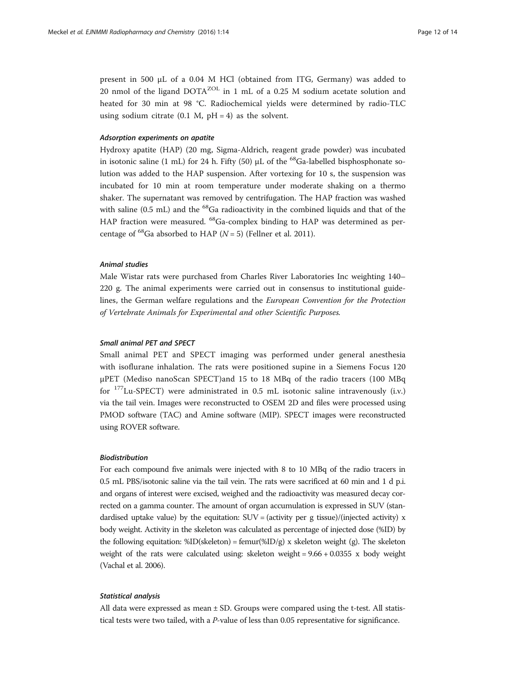present in 500 μL of a 0.04 M HCl (obtained from ITG, Germany) was added to 20 nmol of the ligand DOTA<sup>ZOL</sup> in 1 mL of a 0.25 M sodium acetate solution and heated for 30 min at 98 °C. Radiochemical yields were determined by radio-TLC using sodium citrate  $(0.1 \text{ M}, \text{pH} = 4)$  as the solvent.

## Adsorption experiments on apatite

Hydroxy apatite (HAP) (20 mg, Sigma-Aldrich, reagent grade powder) was incubated in isotonic saline (1 mL) for 24 h. Fifty (50)  $\mu$ L of the <sup>68</sup>Ga-labelled bisphosphonate solution was added to the HAP suspension. After vortexing for 10 s, the suspension was incubated for 10 min at room temperature under moderate shaking on a thermo shaker. The supernatant was removed by centrifugation. The HAP fraction was washed with saline (0.5 mL) and the  ${}^{68}$ Ga radioactivity in the combined liquids and that of the HAP fraction were measured. <sup>68</sup>Ga-complex binding to HAP was determined as percentage of <sup>68</sup>Ga absorbed to HAP ( $N = 5$ ) (Fellner et al. [2011\)](#page-12-0).

#### Animal studies

Male Wistar rats were purchased from Charles River Laboratories Inc weighting 140– 220 g. The animal experiments were carried out in consensus to institutional guidelines, the German welfare regulations and the European Convention for the Protection of Vertebrate Animals for Experimental and other Scientific Purposes.

## Small animal PET and SPECT

Small animal PET and SPECT imaging was performed under general anesthesia with isoflurane inhalation. The rats were positioned supine in a Siemens Focus 120 μPET (Mediso nanoScan SPECT)and 15 to 18 MBq of the radio tracers (100 MBq for  $177$ Lu-SPECT) were administrated in 0.5 mL isotonic saline intravenously (i.v.) via the tail vein. Images were reconstructed to OSEM 2D and files were processed using PMOD software (TAC) and Amine software (MIP). SPECT images were reconstructed using ROVER software.

## Biodistribution

For each compound five animals were injected with 8 to 10 MBq of the radio tracers in 0.5 mL PBS/isotonic saline via the tail vein. The rats were sacrificed at 60 min and 1 d p.i. and organs of interest were excised, weighed and the radioactivity was measured decay corrected on a gamma counter. The amount of organ accumulation is expressed in SUV (standardised uptake value) by the equitation:  $SUV = (activity per g tissue)/(injected activity) x$ body weight. Activity in the skeleton was calculated as percentage of injected dose (%ID) by the following equitation:  $\text{\%ID}(\text{skeleton}) = \text{femur}(\text{\%ID/g}) \times \text{skeleton weight (g)}$ . The skeleton weight of the rats were calculated using: skeleton weight = 9.66 + 0.0355 x body weight (Vachal et al. [2006](#page-13-0)).

## Statistical analysis

All data were expressed as mean  $\pm$  SD. Groups were compared using the t-test. All statistical tests were two tailed, with a P-value of less than 0.05 representative for significance.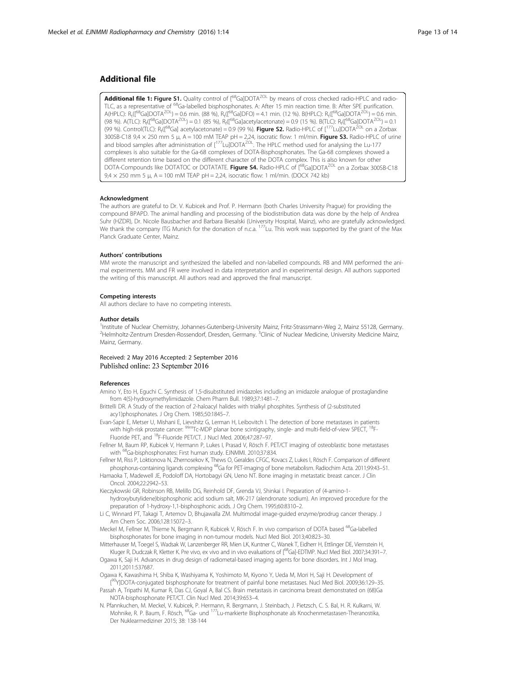## <span id="page-12-0"></span>Additional file

[Additional file 1:](dx.doi.org/10.1186/s41181-016-0017-1) Figure S1. Quality control of [<sup>68</sup>Ga]DOTA<sup>ZOL</sup> by means of cross checked radio-HPLC and radio-TLC, as a representative of <sup>68</sup>Ga-labelled bisphosphonates. A: After 15 min reaction time. B: After SPE purification.  $A(HPLC)$ : R<sub>t</sub>([<sup>68</sup>Ga]DOTA<sup>ZOL</sup>) = 0.6 min. (88 %), R<sub>t</sub>([<sup>68</sup>Ga]DFO) = 4.1 min. (12 %). B(HPLC): R<sub>t</sub>([<sup>68</sup>Ga]DOTA<sup>ZOL</sup>) = 0.6 min. (98 %). A(TLC):  $R_f[$ <sup>68</sup>Ga]DOTA<sup>ZOL</sup>) = 0.1 (85 %),  $R_f[$ <sup>68</sup>Ga]acetylacetonate) = 0.9 (15 %). B(TLC):  $R_f[$ <sup>68</sup>Ga]DOTA<sup>ZOL</sup>) = 0.1 (99 %). Control(TLC):  $R_f[1^{68}Ga]$  acetylacetonate) = 0.9 (99 %). Figure S2. Radio-HPLC of  $[1^{77}$ Lu]DOTA<sup>ZOL</sup> on a Zorbax 300SB-C18  $9.4 \times 250$  mm 5 µ, A = 100 mM TEAP pH = 2,24, isocratic flow: 1 ml/min. Figure S3. Radio-HPLC of urine and blood samples after administration of [<sup>177</sup>Lu]DOTA<sup>ZOL</sup>. The HPLC method used for analysing the Lu-177 complexes is also suitable for the Ga-68 complexes of DOTA-Bisphosphonates. The Ga-68 complexes showed a different retention time based on the different character of the DOTA complex. This is also known for other DOTA-Compounds like DOTATOC or DOTATATE. Figure S4. Radio-HPLC of [<sup>68</sup>Ga]DOTA<sup>ZOL</sup> on a Zorbax 300SB-C18  $9.4 \times 250$  mm 5  $\mu$ , A = 100 mM TEAP pH = 2,24, isocratic flow: 1 ml/min. (DOCX 742 kb)

#### Acknowledgment

The authors are grateful to Dr. V. Kubicek and Prof. P. Hermann (both Charles University Prague) for providing the compound BPAPD. The animal handling and processing of the biodistribution data was done by the help of Andrea Suhr (HZDR), Dr. Nicole Bausbacher and Barbara Biesalski (University Hospital, Mainz), who are gratefully acknowledged. We thank the company ITG Munich for the donation of n.c.a. <sup>177</sup>Lu. This work was supported by the grant of the Max Planck Graduate Center, Mainz.

#### Authors' contributions

MM wrote the manuscript and synthesized the labelled and non-labelled compounds. RB and MM performed the animal experiments. MM and FR were involved in data interpretation and in experimental design. All authors supported the writing of this manuscript. All authors read and approved the final manuscript.

#### Competing interests

All authors declare to have no competing interests.

#### Author details

<sup>1</sup>Institute of Nuclear Chemistry, Johannes-Gutenberg-University Mainz, Fritz-Strassmann-Weg 2, Mainz 55128, Germany <sup>2</sup>Helmholtz-Zentrum Dresden-Rossendorf, Dresden, Germany. <sup>3</sup>Clinic of Nuclear Medicine, University Medicine Mainz, Mainz, Germany.

#### Received: 2 May 2016 Accepted: 2 September 2016 Published online: 23 September 2016

#### References

- Amino Y, Eto H, Eguchi C. Synthesis of 1,5-disubstituted imidazoles including an imidazole analogue of prostaglandine from 4(5)-hydroxymethylimidazole. Chem Pharm Bull. 1989;37:1481–7.
- Brittelli DR. A Study of the reaction of 2-haloacyl halides with trialkyl phosphites. Synthesis of (2-substituted acy1)phosphonates. J Org Chem. 1985;50:1845–7.
- Evan-Sapir E, Metser U, Mishani E, Lievshitz G, Lerman H, Leibovitch I. The detection of bone metastases in patients with high-risk prostate cancer: <sup>99m</sup>Tc-MDP planar bone scintigraphy, single- and multi-field-of-view SPECT, <sup>18</sup>F-Fluoride PET, and 18F-Fluoride PET/CT. J Nucl Med. 2006;47:287–97.
- Fellner M, Baum RP, Kubicek V, Hermann P, Lukes I, Prasad V, Rösch F. PET/CT imaging of osteoblastic bone metastases with 68Ga-bisphosphonates: First human study. EJNMMI. 2010;37:834.
- Fellner M, Riss P, Loktionova N, Zhernosekov K, Thews O, Geraldes CFGC, Kovacs Z, Lukes I, Rösch F. Comparison of different phosphorus-containing ligands complexing <sup>68</sup>Ga for PET-imaging of bone metabolism. Radiochim Acta. 2011;99:43-51.
- Hamaoka T, Madewell JE, Podoloff DA, Hortobagyi GN, Ueno NT. Bone imaging in metastatic breast cancer. J Clin Oncol. 2004;22:2942–53.
- Kieczykowski GR, Robinson RB, Melillo DG, Reinhold DF, Grenda VJ, Shinkai I. Preparation of (4-amino-1 hydroxybutylidene)bisphosphonic acid sodium salt, MK-217 (alendronate sodium). An improved procedure for the preparation of 1-hydroxy-1,1-bisphosphonic acids. J Org Chem. 1995;60:8310–2.
- Li C, Winnard PT, Takagi T, Artemov D, Bhujawalla ZM. Multimodal image-guided enzyme/prodrug cancer therapy. J Am Chem Soc. 2006;128:15072–3.
- Meckel M, Fellner M, Thieme N, Bergmann R, Kubicek V, Rösch F. In vivo comparison of DOTA based <sup>68</sup>Ga-labelled bisphosphonates for bone imaging in non-tumour models. Nucl Med Biol. 2013;40:823–30.
- Mitterhauser M, Toegel S, Wadsak W, Lanzenberger RR, Mien LK, Kuntner C, Wanek T, Eidherr H, Ettlinger DE, Viernstein H, Kluger R, Dudczak R, Kletter K. Pre vivo, ex vivo and in vivo evaluations of [<sup>68</sup>Ga]-EDTMP. Nucl Med Biol. 2007;34:391–7.
- Ogawa K, Saji H. Advances in drug design of radiometal-based imaging agents for bone disorders. Int J Mol Imag. 2011;2011:537687.
- Ogawa K, Kawashima H, Shiba K, Washiyama K, Yoshimoto M, Kiyono Y, Ueda M, Mori H, Saji H. Development of
- [<sup>90</sup>Y]DOTA-conjugated bisphosphonate for treatment of painful bone metastases. Nucl Med Biol. 2009;36:129-35. Passah A, Tripathi M, Kumar R, Das CJ, Goyal A, Bal CS. Brain metastasis in carcinoma breast demonstrated on (68)Ga NOTA-bisphosphonate PET/CT. Clin Nucl Med. 2014;39:653–4.
- N. Pfannkuchen, M. Meckel, V. Kubicek, P. Hermann, R. Bergmann, J. Steinbach, J. Pietzsch, C. S. Bal, H. R. Kulkarni, W. Mohnike, R. P. Baum, F. Rösch, <sup>68</sup>Ga- und <sup>177</sup>Lu-markierte Bisphosphonate als Knochenmetastasen-Theranostika, Der Nuklearmediziner 2015; 38: 138-144